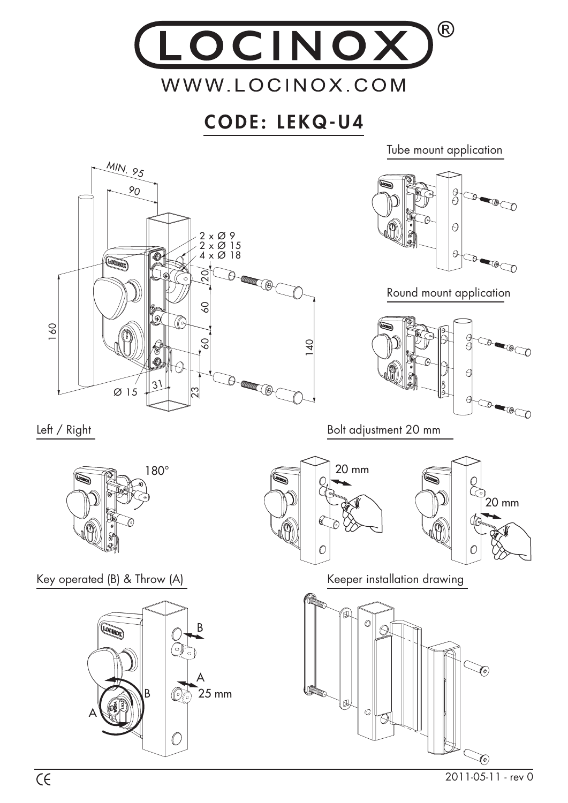

## **CODE: LEKQ-U4**

Tube mount application



2011-05-11 - rev 0